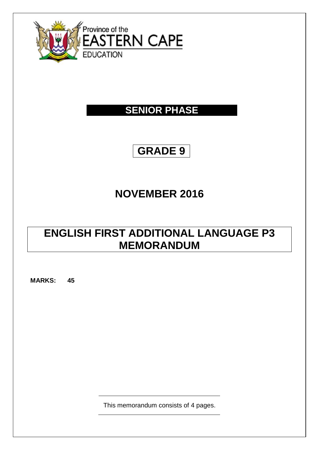

# **SENIOR PHASE**

# **GRADE 9**

# **NOVEMBER 2016**

# **ENGLISH FIRST ADDITIONAL LANGUAGE P3 MEMORANDUM**

**MARKS: 45**

This memorandum consists of 4 pages.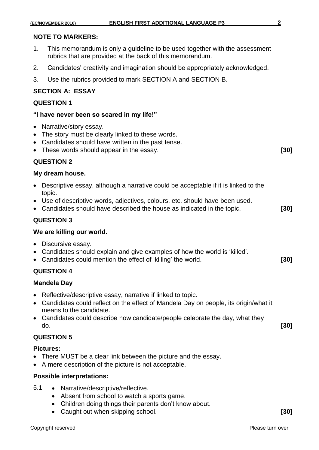### **NOTE TO MARKERS:**

- 1. This memorandum is only a guideline to be used together with the assessment rubrics that are provided at the back of this memorandum.
- 2. Candidates' creativity and imagination should be appropriately acknowledged.
- 3. Use the rubrics provided to mark SECTION A and SECTION B.

### **SECTION A: ESSAY**

#### **QUESTION 1**

#### **"I have never been so scared in my life!"**

- Narrative/story essay.
- The story must be clearly linked to these words.
- Candidates should have written in the past tense.
- These words should appear in the essay. **[30]**

### **QUESTION 2**

#### **My dream house.**

- Descriptive essay, although a narrative could be acceptable if it is linked to the topic.
- Use of descriptive words, adjectives, colours, etc. should have been used.
- Candidates should have described the house as indicated in the topic. **[30]**

### **QUESTION 3**

#### **We are killing our world.**

- Discursive essay.
- Candidates should explain and give examples of how the world is 'killed'.
- Candidates could mention the effect of 'killing' the world. **[30]**

### **QUESTION 4**

#### **Mandela Day**

- Reflective/descriptive essay, narrative if linked to topic.
- Candidates could reflect on the effect of Mandela Day on people, its origin/what it means to the candidate.
- Candidates could describe how candidate/people celebrate the day, what they do. **[30]**

# **QUESTION 5**

#### **Pictures:**

- There MUST be a clear link between the picture and the essay.
- A mere description of the picture is not acceptable.

#### **Possible interpretations:**

- 5.1 Narrative/descriptive/reflective.
	- Absent from school to watch a sports game.
	- Children doing things their parents don't know about.
	- Caught out when skipping school. **[30]**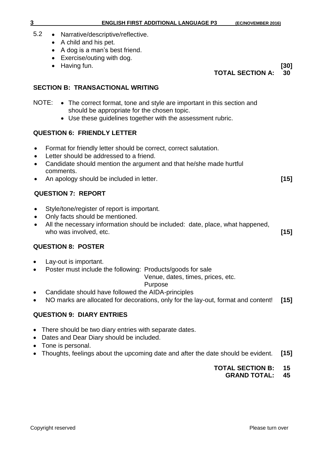- 5.2 Narrative/descriptive/reflective.
	- A child and his pet.
	- A dog is a man's best friend.
	- Exercise/outing with dog.
	- Having fun. **[30]**

**TOTAL SECTION A: 30**

# **SECTION B: TRANSACTIONAL WRITING**

- NOTE: The correct format, tone and style are important in this section and should be appropriate for the chosen topic.
	- Use these guidelines together with the assessment rubric.

# **QUESTION 6: FRIENDLY LETTER**

- Format for friendly letter should be correct, correct salutation.
- Letter should be addressed to a friend.
- Candidate should mention the argument and that he/she made hurtful comments.
- An apology should be included in letter. **[15]**

# **QUESTION 7: REPORT**

- Style/tone/register of report is important.
- Only facts should be mentioned.
- All the necessary information should be included: date, place, what happened, who was involved, etc. *[15]*

# **QUESTION 8: POSTER**

- Lay-out is important.
- Poster must include the following: Products/goods for sale

Venue, dates, times, prices, etc.

# Purpose

- Candidate should have followed the AIDA-principles
- NO marks are allocated for decorations, only for the lay-out, format and content! **[15]**

# **QUESTION 9: DIARY ENTRIES**

- There should be two diary entries with separate dates.
- Dates and Dear Diary should be included.
- Tone is personal.
- Thoughts, feelings about the upcoming date and after the date should be evident. **[15]**

# **TOTAL SECTION B: 15**

**GRAND TOTAL: 45**